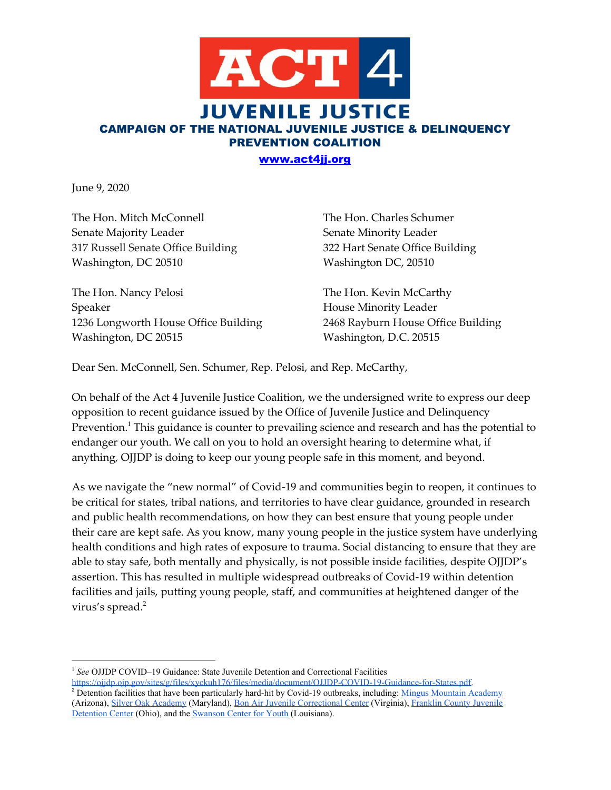

June 9, 2020

The Hon. Mitch McConnell The Hon. Charles Schumer Senate Majority Leader Senate Minority Leader 317 Russell Senate Office Building 322 Hart Senate Office Building Washington, DC 20510 Washington DC, 20510

The Hon. Nancy Pelosi The Hon. Kevin McCarthy Speaker House Minority Leader 1236 Longworth House Office Building 2468 Rayburn House Office Building Washington, DC 20515 Washington, D.C. 20515

Dear Sen. McConnell, Sen. Schumer, Rep. Pelosi, and Rep. McCarthy,

On behalf of the Act 4 Juvenile Justice Coalition, we the undersigned write to express our deep opposition to recent guidance issued by the Office of Juvenile Justice and Delinquency Prevention. $^{\rm 1}$  This guidance is counter to prevailing science and research and has the potential to endanger our youth. We call on you to hold an oversight hearing to determine what, if anything, OJJDP is doing to keep our young people safe in this moment, and beyond.

As we navigate the "new normal" of Covid-19 and communities begin to reopen, it continues to be critical for states, tribal nations, and territories to have clear guidance, grounded in research and public health recommendations, on how they can best ensure that young people under their care are kept safe. As you know, many young people in the justice system have underlying health conditions and high rates of exposure to trauma. Social distancing to ensure that they are able to stay safe, both mentally and physically, is not possible inside facilities, despite OJJDP's assertion. This has resulted in multiple widespread outbreaks of Covid-19 within detention facilities and jails, putting young people, staff, and communities at heightened danger of the virus's spread. 2

<sup>&</sup>lt;sup>1</sup> See OJJDP COVID–19 Guidance: State Juvenile Detention and Correctional Facilities <https://ojjdp.ojp.gov/sites/g/files/xyckuh176/files/media/document/OJJDP-COVID-19-Guidance-for-States.pdf>.

<sup>&</sup>lt;sup>2</sup> Detention facilities that have been particularly hard-hit by Covid-19 outbreaks, including: [Mingus Mountain Academy](https://www.dcourier.com/news/2020/may/14/84-students-20-staff-test-positive-mingus-mountain/) (Arizona), [Silver Oak Academy](https://baltimore.cbslocal.com/2020/05/20/silver-oak-academy-coronavirus-outbreak/) (Maryland)[,](https://www.npr.org/sections/coronavirus-live-updates/2020/04/20/838790229/virginia-juvenile-correctional-facility-overwhelmed-by-coronavirus) [Bon Air Juvenile Correctional Center](https://www.npr.org/sections/coronavirus-live-updates/2020/04/20/838790229/virginia-juvenile-correctional-facility-overwhelmed-by-coronavirus) (Virginia)[,](https://radio.wosu.org/post/half-franklin-county-juvenile-detention-center-staff-test-positive-covid-19#stream/0) [Franklin County Juvenile](https://radio.wosu.org/post/half-franklin-county-juvenile-detention-center-staff-test-positive-covid-19#stream/0) [Detention Center](https://radio.wosu.org/post/half-franklin-county-juvenile-detention-center-staff-test-positive-covid-19#stream/0) (Ohio), and th[e](https://www.nbcnews.com/news/us-news/louisiana-parents-sue-get-children-out-juvenile-detention-coronavirus-spreads-n1207196) [Swanson Center for Youth](https://www.nbcnews.com/news/us-news/louisiana-parents-sue-get-children-out-juvenile-detention-coronavirus-spreads-n1207196) (Louisiana).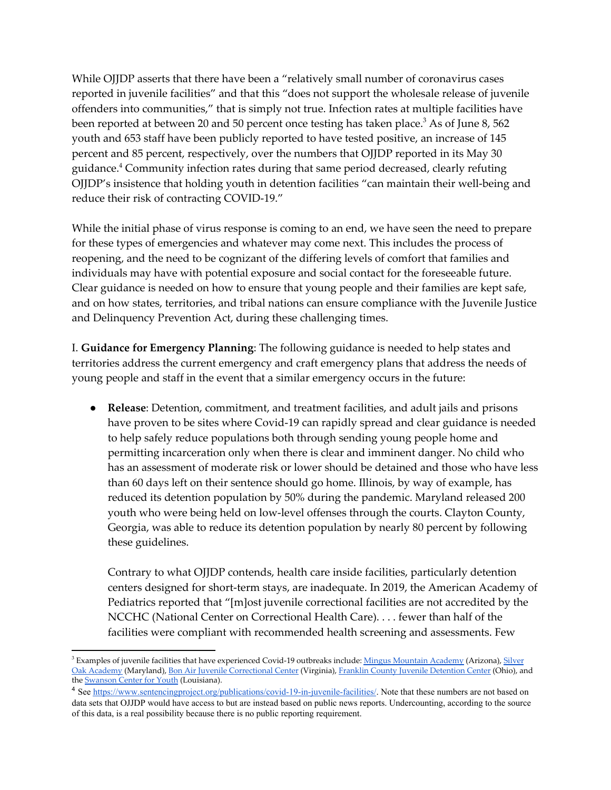While OJJDP asserts that there have been a "relatively small number of coronavirus cases reported in juvenile facilities" and that this "does not support the wholesale release of juvenile offenders into communities," that is simply not true. Infection rates at multiple facilities have been reported at between 20 and 50 percent once testing has taken place. $^3$  As of June 8, 562 youth and 653 staff have been publicly reported to have tested positive, an increase of 145 percent and 85 percent, respectively, over the numbers that OJJDP reported in its May 30 guidance.<sup>4</sup> Community infection rates during that same period decreased, clearly refuting OJJDP's insistence that holding youth in detention facilities "can maintain their well-being and reduce their risk of contracting COVID-19."

While the initial phase of virus response is coming to an end, we have seen the need to prepare for these types of emergencies and whatever may come next. This includes the process of reopening, and the need to be cognizant of the differing levels of comfort that families and individuals may have with potential exposure and social contact for the foreseeable future. Clear guidance is needed on how to ensure that young people and their families are kept safe, and on how states, territories, and tribal nations can ensure compliance with the Juvenile Justice and Delinquency Prevention Act, during these challenging times.

I. **Guidance for Emergency Planning**: The following guidance is needed to help states and territories address the current emergency and craft emergency plans that address the needs of young people and staff in the event that a similar emergency occurs in the future:

● **Release**: Detention, commitment, and treatment facilities, and adult jails and prisons have proven to be sites where Covid-19 can rapidly spread and clear guidance is needed to help safely reduce populations both through sending young people home and permitting incarceration only when there is clear and imminent danger. No child who has an assessment of moderate risk or lower should be detained and those who have less than 60 days left on their sentence should go home. Illinois, by way of example, has reduced its detention population by 50% during the pandemic. Maryland released 200 youth who were being held on low-level offenses through the courts. Clayton County, Georgia, was able to reduce its detention population by nearly 80 percent by following these guidelines.

Contrary to what OJJDP contends, health care inside facilities, particularly detention centers designed for short-term stays, are inadequate. In 2019, the American Academy of Pediatrics reported that "[m]ost juvenile correctional facilities are not accredited by the NCCHC (National Center on Correctional Health Care). . . . fewer than half of the facilities were compliant with recommended health screening and assessments. Few

<sup>&</sup>lt;sup>3</sup> Examples of juven[i](https://www.npr.org/sections/coronavirus-live-updates/2020/04/20/838790229/virginia-juvenile-correctional-facility-overwhelmed-by-coronavirus)le facilities that have experienced Covid-19 outbreaks include: Mingus [Mountain](https://www.dcourier.com/news/2020/may/14/84-students-20-staff-test-positive-mingus-mountain/) Academy (Arizona), [Silver](https://baltimore.cbslocal.com/2020/05/20/silver-oak-academy-coronavirus-outbreak/) Oa[k](https://www.nbcnews.com/news/us-news/louisiana-parents-sue-get-children-out-juvenile-detention-coronavirus-spreads-n1207196) [Academy](https://baltimore.cbslocal.com/2020/05/20/silver-oak-academy-coronavirus-outbreak/) (Maryland), Bon Air Juvenile [Correctional](https://www.npr.org/sections/coronavirus-live-updates/2020/04/20/838790229/virginia-juvenile-correctional-facility-overwhelmed-by-coronavirus) Center (Virginia), [F](https://radio.wosu.org/post/half-franklin-county-juvenile-detention-center-staff-test-positive-covid-19#stream/0)ranklin County Juvenile [Detention](https://radio.wosu.org/post/half-franklin-county-juvenile-detention-center-staff-test-positive-covid-19#stream/0) Center (Ohio), and the **[Swanson](https://www.nbcnews.com/news/us-news/louisiana-parents-sue-get-children-out-juvenile-detention-coronavirus-spreads-n1207196) Center for Youth** (Louisiana).

<sup>&</sup>lt;sup>4</sup> See<https://www.sentencingproject.org/publications/covid-19-in-juvenile-facilities/>. Note that these numbers are not based on data sets that OJJDP would have access to but are instead based on public news reports. Undercounting, according to the source of this data, is a real possibility because there is no public reporting requirement.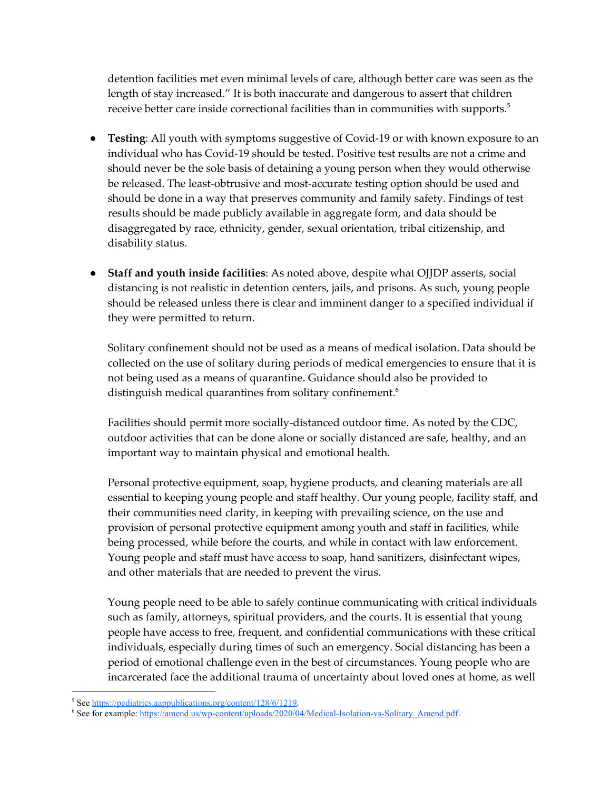detention facilities met even minimal levels of care, although better care was seen as the length of stay increased." It is both inaccurate and dangerous to assert that children receive better care inside correctional facilities than in communities with supports. $^5$ 

- **Testing**: All youth with symptoms suggestive of Covid-19 or with known exposure to an individual who has Covid-19 should be tested. Positive test results are not a crime and should never be the sole basis of detaining a young person when they would otherwise be released. The least-obtrusive and most-accurate testing option should be used and should be done in a way that preserves community and family safety. Findings of test results should be made publicly available in aggregate form, and data should be disaggregated by race, ethnicity, gender, sexual orientation, tribal citizenship, and disability status.
- **Staff and youth inside facilities**: As noted above, despite what OJJDP asserts, social distancing is not realistic in detention centers, jails, and prisons. As such, young people should be released unless there is clear and imminent danger to a specified individual if they were permitted to return.

Solitary confinement should not be used as a means of medical isolation. Data should be collected on the use of solitary during periods of medical emergencies to ensure that it is not being used as a means of quarantine. Guidance should also be provided to distinguish medical quarantines from solitary confinement. 6

Facilities should permit more socially-distanced outdoor time. As noted by the CDC, outdoor activities that can be done alone or socially distanced are safe, healthy, and an important way to maintain physical and emotional health.

Personal protective equipment, soap, hygiene products, and cleaning materials are all essential to keeping young people and staff healthy. Our young people, facility staff, and their communities need clarity, in keeping with prevailing science, on the use and provision of personal protective equipment among youth and staff in facilities, while being processed, while before the courts, and while in contact with law enforcement. Young people and staff must have access to soap, hand sanitizers, disinfectant wipes, and other materials that are needed to prevent the virus.

Young people need to be able to safely continue communicating with critical individuals such as family, attorneys, spiritual providers, and the courts. It is essential that young people have access to free, frequent, and confidential communications with these critical individuals, especially during times of such an emergency. Social distancing has been a period of emotional challenge even in the best of circumstances. Young people who are incarcerated face the additional trauma of uncertainty about loved ones at home, as well

<sup>&</sup>lt;sup>5</sup> See [https://pediatrics.aappublications.org/content/128/6/1219.](https://pediatrics.aappublications.org/content/128/6/1219)

<sup>&</sup>lt;sup>6</sup> See for example: [https://amend.us/wp-content/uploads/2020/04/Medical-Isolation-vs-Solitary\\_Amend.pdf](https://amend.us/wp-content/uploads/2020/04/Medical-Isolation-vs-Solitary_Amend.pdf).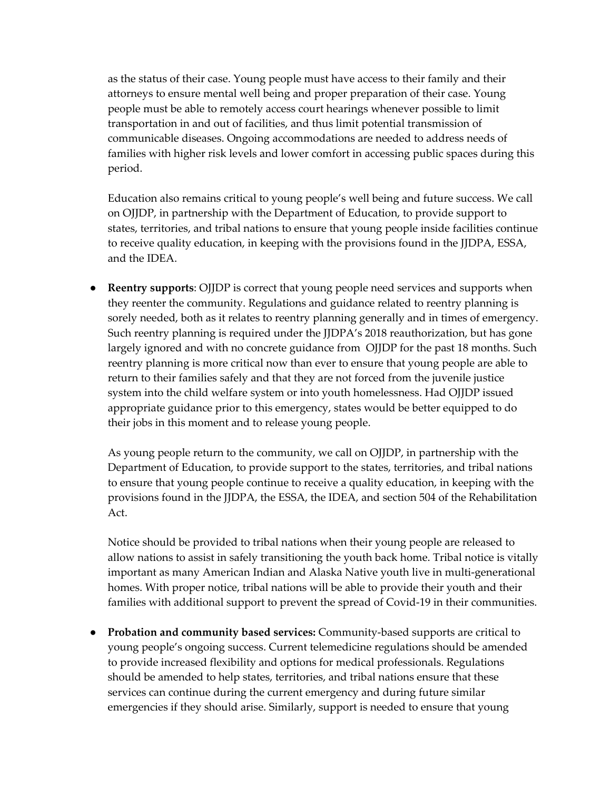as the status of their case. Young people must have access to their family and their attorneys to ensure mental well being and proper preparation of their case. Young people must be able to remotely access court hearings whenever possible to limit transportation in and out of facilities, and thus limit potential transmission of communicable diseases. Ongoing accommodations are needed to address needs of families with higher risk levels and lower comfort in accessing public spaces during this period.

Education also remains critical to young people's well being and future success. We call on OJJDP, in partnership with the Department of Education, to provide support to states, territories, and tribal nations to ensure that young people inside facilities continue to receive quality education, in keeping with the provisions found in the JJDPA, ESSA, and the IDEA.

● **Reentry supports**: OJJDP is correct that young people need services and supports when they reenter the community. Regulations and guidance related to reentry planning is sorely needed, both as it relates to reentry planning generally and in times of emergency. Such reentry planning is required under the JJDPA's 2018 reauthorization, but has gone largely ignored and with no concrete guidance from OJJDP for the past 18 months. Such reentry planning is more critical now than ever to ensure that young people are able to return to their families safely and that they are not forced from the juvenile justice system into the child welfare system or into youth homelessness. Had OJJDP issued appropriate guidance prior to this emergency, states would be better equipped to do their jobs in this moment and to release young people.

As young people return to the community, we call on OJJDP, in partnership with the Department of Education, to provide support to the states, territories, and tribal nations to ensure that young people continue to receive a quality education, in keeping with the provisions found in the JJDPA, the ESSA, the IDEA, and section 504 of the Rehabilitation Act.

Notice should be provided to tribal nations when their young people are released to allow nations to assist in safely transitioning the youth back home. Tribal notice is vitally important as many American Indian and Alaska Native youth live in multi-generational homes. With proper notice, tribal nations will be able to provide their youth and their families with additional support to prevent the spread of Covid-19 in their communities.

● **Probation and community based services:** Community-based supports are critical to young people's ongoing success. Current telemedicine regulations should be amended to provide increased flexibility and options for medical professionals. Regulations should be amended to help states, territories, and tribal nations ensure that these services can continue during the current emergency and during future similar emergencies if they should arise. Similarly, support is needed to ensure that young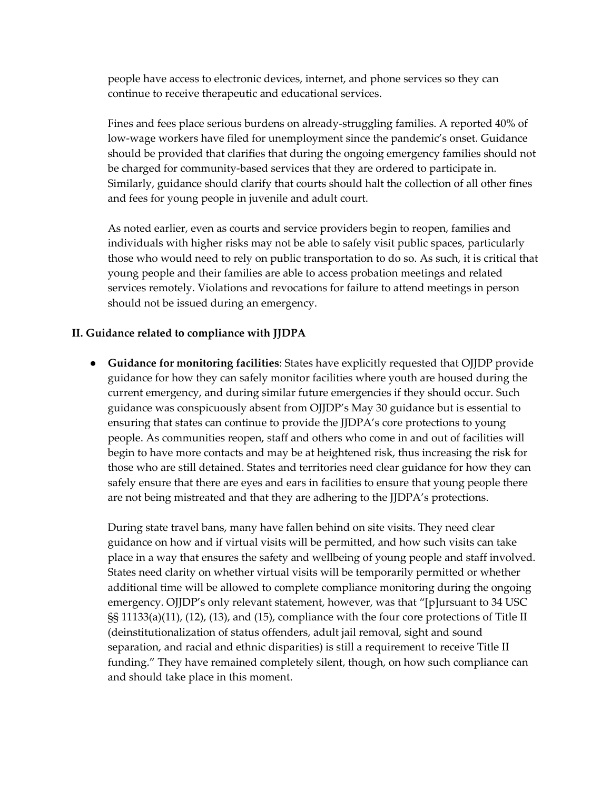people have access to electronic devices, internet, and phone services so they can continue to receive therapeutic and educational services.

Fines and fees place serious burdens on already-struggling families. A reported 40% of low-wage workers have filed for unemployment since the pandemic's onset. Guidance should be provided that clarifies that during the ongoing emergency families should not be charged for community-based services that they are ordered to participate in. Similarly, guidance should clarify that courts should halt the collection of all other fines and fees for young people in juvenile and adult court.

As noted earlier, even as courts and service providers begin to reopen, families and individuals with higher risks may not be able to safely visit public spaces, particularly those who would need to rely on public transportation to do so. As such, it is critical that young people and their families are able to access probation meetings and related services remotely. Violations and revocations for failure to attend meetings in person should not be issued during an emergency.

## **II. Guidance related to compliance with JJDPA**

● **Guidance for monitoring facilities**: States have explicitly requested that OJJDP provide guidance for how they can safely monitor facilities where youth are housed during the current emergency, and during similar future emergencies if they should occur. Such guidance was conspicuously absent from OJJDP's May 30 guidance but is essential to ensuring that states can continue to provide the JJDPA's core protections to young people. As communities reopen, staff and others who come in and out of facilities will begin to have more contacts and may be at heightened risk, thus increasing the risk for those who are still detained. States and territories need clear guidance for how they can safely ensure that there are eyes and ears in facilities to ensure that young people there are not being mistreated and that they are adhering to the JJDPA's protections.

During state travel bans, many have fallen behind on site visits. They need clear guidance on how and if virtual visits will be permitted, and how such visits can take place in a way that ensures the safety and wellbeing of young people and staff involved. States need clarity on whether virtual visits will be temporarily permitted or whether additional time will be allowed to complete compliance monitoring during the ongoing emergency. OJJDP's only relevant statement, however, was that "[p]ursuant to 34 USC §§ 11133(a)(11), (12), (13), and (15), compliance with the four core protections of Title II (deinstitutionalization of status offenders, adult jail removal, sight and sound separation, and racial and ethnic disparities) is still a requirement to receive Title II funding." They have remained completely silent, though, on how such compliance can and should take place in this moment.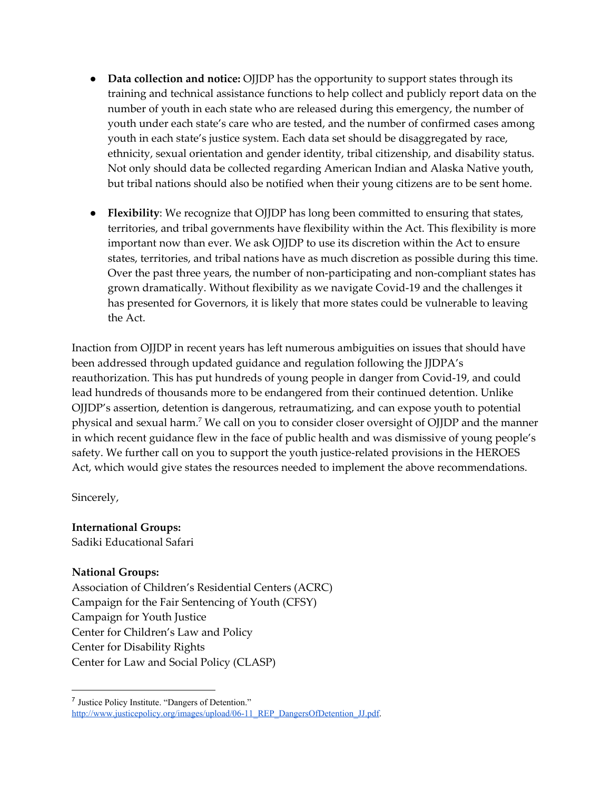- **Data collection and notice:** OJJDP has the opportunity to support states through its training and technical assistance functions to help collect and publicly report data on the number of youth in each state who are released during this emergency, the number of youth under each state's care who are tested, and the number of confirmed cases among youth in each state's justice system. Each data set should be disaggregated by race, ethnicity, sexual orientation and gender identity, tribal citizenship, and disability status. Not only should data be collected regarding American Indian and Alaska Native youth, but tribal nations should also be notified when their young citizens are to be sent home.
- **Flexibility**: We recognize that OJJDP has long been committed to ensuring that states, territories, and tribal governments have flexibility within the Act. This flexibility is more important now than ever. We ask OJJDP to use its discretion within the Act to ensure states, territories, and tribal nations have as much discretion as possible during this time. Over the past three years, the number of non-participating and non-compliant states has grown dramatically. Without flexibility as we navigate Covid-19 and the challenges it has presented for Governors, it is likely that more states could be vulnerable to leaving the Act.

Inaction from OJJDP in recent years has left numerous ambiguities on issues that should have been addressed through updated guidance and regulation following the JJDPA's reauthorization. This has put hundreds of young people in danger from Covid-19, and could lead hundreds of thousands more to be endangered from their continued detention. Unlike OJJDP's assertion, detention is dangerous, retraumatizing, and can expose youth to potential physical and sexual harm. $^7$  We call on you to consider closer oversight of OJJDP and the manner in which recent guidance flew in the face of public health and was dismissive of young people's safety. We further call on you to support the youth justice-related provisions in the HEROES Act, which would give states the resources needed to implement the above recommendations.

Sincerely,

**International Groups:** Sadiki Educational Safari

## **National Groups:**

Association of Children's Residential Centers (ACRC) Campaign for the Fair Sentencing of Youth (CFSY) Campaign for Youth Justice Center for Children's Law and Policy Center for Disability Rights Center for Law and Social Policy (CLASP)

<sup>&</sup>lt;sup>7</sup> Justice Policy Institute. "Dangers of Detention." [http://www.justicepolicy.org/images/upload/06-11\\_REP\\_DangersOfDetention\\_JJ.pdf](http://www.justicepolicy.org/images/upload/06-11_REP_DangersOfDetention_JJ.pdf).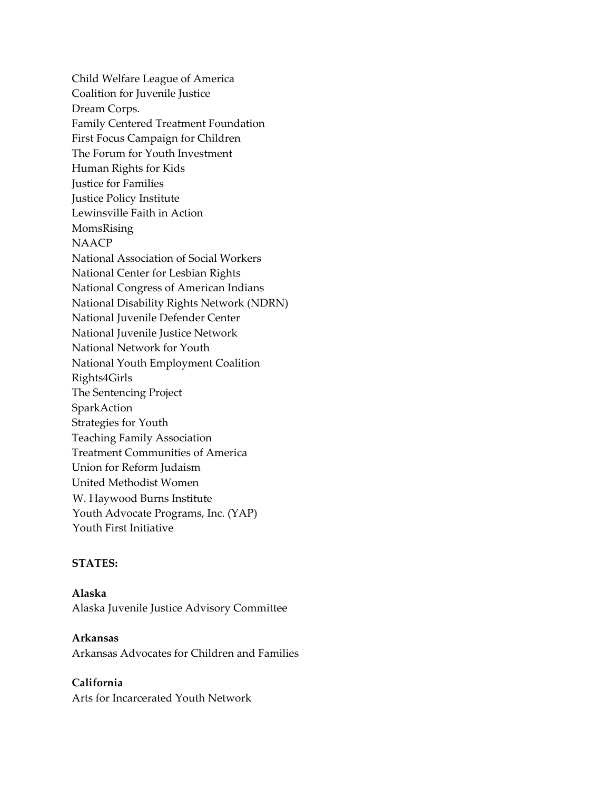Child Welfare League of America Coalition for Juvenile Justice Dream Corps. Family Centered Treatment Foundation First Focus Campaign for Children The Forum for Youth Investment Human Rights for Kids Justice for Families Justice Policy Institute Lewinsville Faith in Action MomsRising NAACP National Association of Social Workers National Center for Lesbian Rights National Congress of American Indians National Disability Rights Network (NDRN) National Juvenile Defender Center National Juvenile Justice Network National Network for Youth National Youth Employment Coalition Rights4Girls The Sentencing Project SparkAction Strategies for Youth Teaching Family Association Treatment Communities of America Union for Reform Judaism United Methodist Women W. Haywood Burns Institute Youth Advocate Programs, Inc. (YAP) Youth First Initiative

## **STATES:**

**Alaska** Alaska Juvenile Justice Advisory Committee

**Arkansas** Arkansas Advocates for Children and Families

**California** Arts for Incarcerated Youth Network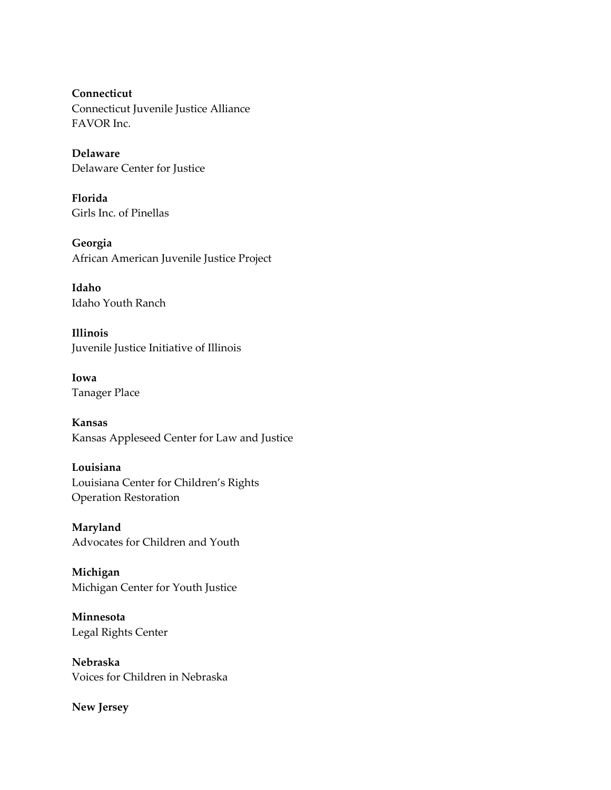**Connecticut** Connecticut Juvenile Justice Alliance FAVOR Inc.

**Delaware** Delaware Center for Justice

**Florida** Girls Inc. of Pinellas

**Georgia** African American Juvenile Justice Project

**Idaho** Idaho Youth Ranch

**Illinois** Juvenile Justice Initiative of Illinois

**Iowa** Tanager Place

**Kansas** Kansas Appleseed Center for Law and Justice

**Louisiana** Louisiana Center for Children's Rights Operation Restoration

**Maryland** Advocates for Children and Youth

**Michigan** Michigan Center for Youth Justice

**Minnesota** Legal Rights Center

**Nebraska** Voices for Children in Nebraska

**New Jersey**